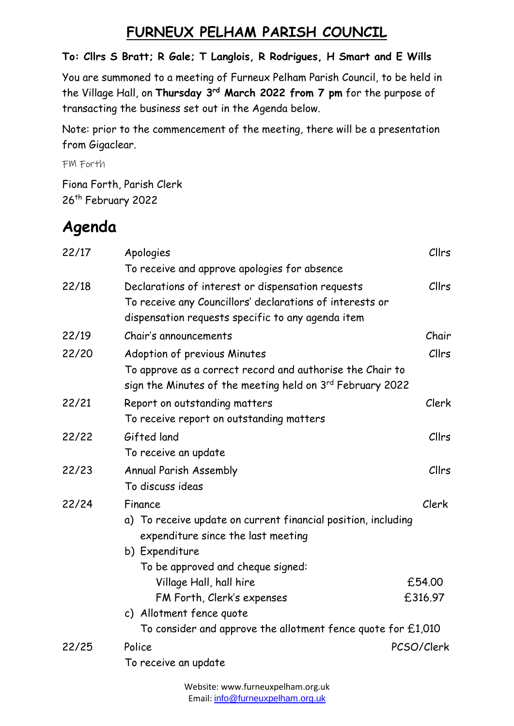## **FURNEUX PELHAM PARISH COUNCIL**

## **To: Cllrs S Bratt; R Gale; T Langlois, R Rodrigues, H Smart and E Wills**

You are summoned to a meeting of Furneux Pelham Parish Council, to be held in the Village Hall, on **Thursday 3 rd March 2022 from 7 pm** for the purpose of transacting the business set out in the Agenda below.

Note: prior to the commencement of the meeting, there will be a presentation from Gigaclear.

FM Forth

Fiona Forth, Parish Clerk 26<sup>th</sup> February 2022

## **Agenda**

| 22/17 | Apologies                                                                                                              | Cllrs      |  |
|-------|------------------------------------------------------------------------------------------------------------------------|------------|--|
|       | To receive and approve apologies for absence                                                                           |            |  |
| 22/18 | Declarations of interest or dispensation requests                                                                      | Cllrs      |  |
|       | To receive any Councillors' declarations of interests or                                                               |            |  |
|       | dispensation requests specific to any agenda item                                                                      |            |  |
| 22/19 | Chair's announcements                                                                                                  | Chair      |  |
| 22/20 | Adoption of previous Minutes                                                                                           | Cllrs      |  |
|       | To approve as a correct record and authorise the Chair to<br>sign the Minutes of the meeting held on 3rd February 2022 |            |  |
| 22/21 | Report on outstanding matters                                                                                          | Clerk      |  |
|       | To receive report on outstanding matters                                                                               |            |  |
| 22/22 | Gifted land                                                                                                            | Cllrs      |  |
|       | To receive an update                                                                                                   |            |  |
| 22/23 | Annual Parish Assembly                                                                                                 | Cllrs      |  |
|       | To discuss ideas                                                                                                       |            |  |
| 22/24 | Finance                                                                                                                | Clerk      |  |
|       | a) To receive update on current financial position, including                                                          |            |  |
|       | expenditure since the last meeting                                                                                     |            |  |
|       | b) Expenditure                                                                                                         |            |  |
|       | To be approved and cheque signed:                                                                                      |            |  |
|       | Village Hall, hall hire                                                                                                | £54.00     |  |
|       | FM Forth, Clerk's expenses                                                                                             | £316.97    |  |
|       | c) Allotment fence quote                                                                                               |            |  |
|       | To consider and approve the allotment fence quote for $£1,010$                                                         |            |  |
| 22/25 | Police                                                                                                                 | PCSO/Clerk |  |
|       | To receive an update                                                                                                   |            |  |
|       |                                                                                                                        |            |  |

Website: www.furneuxpelham.org.uk Email: [info@furneuxpelham.org.uk](mailto:info@furneuxpelham.org.uk)